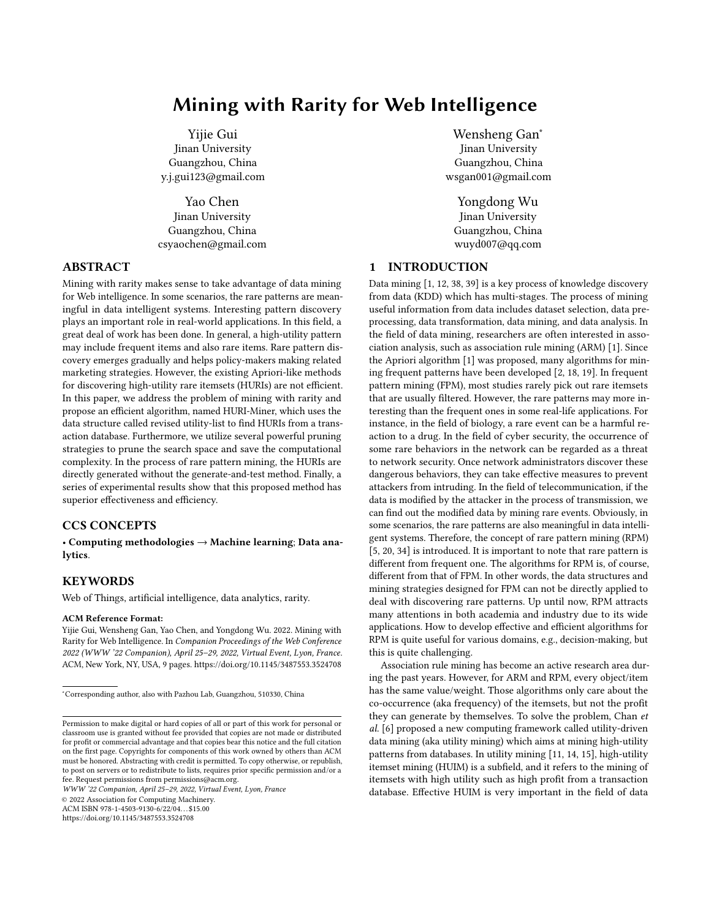# Mining with Rarity for Web Intelligence

Yijie Gui Jinan University Guangzhou, China y.j.gui123@gmail.com

Yao Chen Jinan University Guangzhou, China csyaochen@gmail.com

# ABSTRACT

Mining with rarity makes sense to take advantage of data mining for Web intelligence. In some scenarios, the rare patterns are meaningful in data intelligent systems. Interesting pattern discovery plays an important role in real-world applications. In this field, a great deal of work has been done. In general, a high-utility pattern may include frequent items and also rare items. Rare pattern discovery emerges gradually and helps policy-makers making related marketing strategies. However, the existing Apriori-like methods for discovering high-utility rare itemsets (HURIs) are not efficient. In this paper, we address the problem of mining with rarity and propose an efficient algorithm, named HURI-Miner, which uses the data structure called revised utility-list to find HURIs from a transaction database. Furthermore, we utilize several powerful pruning strategies to prune the search space and save the computational complexity. In the process of rare pattern mining, the HURIs are directly generated without the generate-and-test method. Finally, a series of experimental results show that this proposed method has superior effectiveness and efficiency.

# CCS CONCEPTS

• Computing methodologies → Machine learning; Data analytics.

## KEYWORDS

Web of Things, artificial intelligence, data analytics, rarity.

#### ACM Reference Format:

Yijie Gui, Wensheng Gan, Yao Chen, and Yongdong Wu. 2022. Mining with Rarity for Web Intelligence. In Companion Proceedings of the Web Conference 2022 (WWW '22 Companion), April 25–29, 2022, Virtual Event, Lyon, France. ACM, New York, NY, USA, [9](#page-8-0) pages.<https://doi.org/10.1145/3487553.3524708>

WWW '22 Companion, April 25–29, 2022, Virtual Event, Lyon, France

© 2022 Association for Computing Machinery.

ACM ISBN 978-1-4503-9130-6/22/04. . . \$15.00

<https://doi.org/10.1145/3487553.3524708>

Wensheng Gan<sup>∗</sup> Jinan University Guangzhou, China wsgan001@gmail.com

Yongdong Wu Jinan University Guangzhou, China wuyd007@qq.com

# 1 INTRODUCTION

Data mining [\[1,](#page-8-1) [12,](#page-8-2) [38,](#page-8-3) [39\]](#page-8-4) is a key process of knowledge discovery from data (KDD) which has multi-stages. The process of mining useful information from data includes dataset selection, data preprocessing, data transformation, data mining, and data analysis. In the field of data mining, researchers are often interested in association analysis, such as association rule mining (ARM) [\[1\]](#page-8-1). Since the Apriori algorithm [\[1\]](#page-8-1) was proposed, many algorithms for mining frequent patterns have been developed [\[2,](#page-8-5) [18,](#page-8-6) [19\]](#page-8-7). In frequent pattern mining (FPM), most studies rarely pick out rare itemsets that are usually filtered. However, the rare patterns may more interesting than the frequent ones in some real-life applications. For instance, in the field of biology, a rare event can be a harmful reaction to a drug. In the field of cyber security, the occurrence of some rare behaviors in the network can be regarded as a threat to network security. Once network administrators discover these dangerous behaviors, they can take effective measures to prevent attackers from intruding. In the field of telecommunication, if the data is modified by the attacker in the process of transmission, we can find out the modified data by mining rare events. Obviously, in some scenarios, the rare patterns are also meaningful in data intelligent systems. Therefore, the concept of rare pattern mining (RPM) [\[5,](#page-8-8) [20,](#page-8-9) [34\]](#page-8-10) is introduced. It is important to note that rare pattern is different from frequent one. The algorithms for RPM is, of course, different from that of FPM. In other words, the data structures and mining strategies designed for FPM can not be directly applied to deal with discovering rare patterns. Up until now, RPM attracts many attentions in both academia and industry due to its wide applications. How to develop effective and efficient algorithms for RPM is quite useful for various domains, e.g., decision-making, but this is quite challenging.

Association rule mining has become an active research area during the past years. However, for ARM and RPM, every object/item has the same value/weight. Those algorithms only care about the co-occurrence (aka frequency) of the itemsets, but not the profit they can generate by themselves. To solve the problem, Chan et al. [\[6\]](#page-8-11) proposed a new computing framework called utility-driven data mining (aka utility mining) which aims at mining high-utility patterns from databases. In utility mining [\[11,](#page-8-12) [14,](#page-8-13) [15\]](#page-8-14), high-utility itemset mining (HUIM) is a subfield, and it refers to the mining of itemsets with high utility such as high profit from a transaction database. Effective HUIM is very important in the field of data

<sup>∗</sup>Corresponding author, also with Pazhou Lab, Guangzhou, 510330, China

Permission to make digital or hard copies of all or part of this work for personal or classroom use is granted without fee provided that copies are not made or distributed for profit or commercial advantage and that copies bear this notice and the full citation on the first page. Copyrights for components of this work owned by others than ACM must be honored. Abstracting with credit is permitted. To copy otherwise, or republish, to post on servers or to redistribute to lists, requires prior specific permission and/or a fee. Request permissions from permissions@acm.org.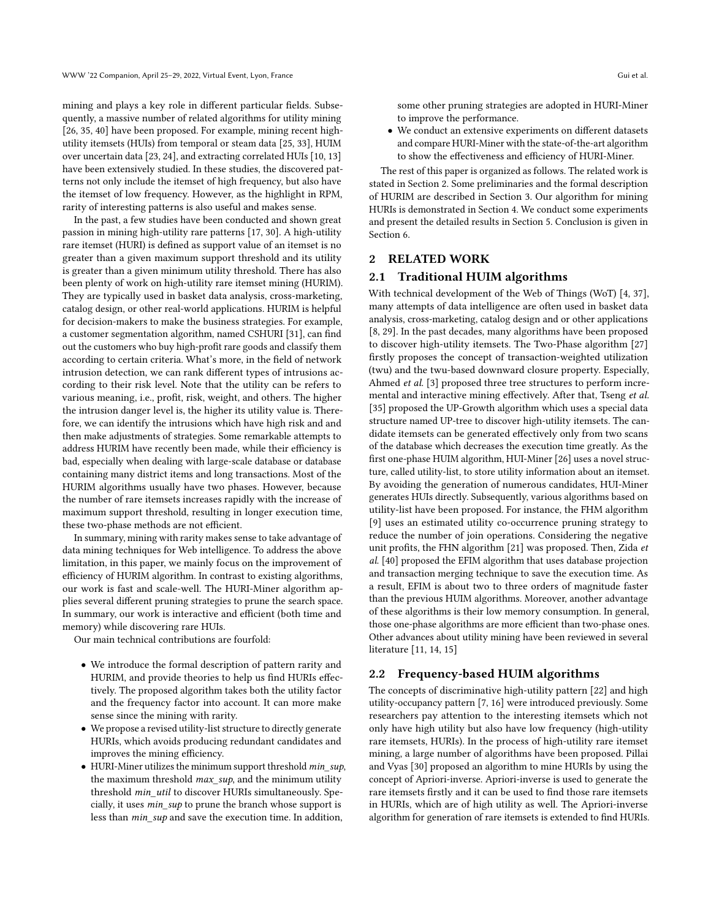mining and plays a key role in different particular fields. Subsequently, a massive number of related algorithms for utility mining [\[26,](#page-8-15) [35,](#page-8-16) [40\]](#page-8-17) have been proposed. For example, mining recent highutility itemsets (HUIs) from temporal or steam data [\[25,](#page-8-18) [33\]](#page-8-19), HUIM over uncertain data [\[23,](#page-8-20) [24\]](#page-8-21), and extracting correlated HUIs [\[10,](#page-8-22) [13\]](#page-8-23) have been extensively studied. In these studies, the discovered patterns not only include the itemset of high frequency, but also have the itemset of low frequency. However, as the highlight in RPM, rarity of interesting patterns is also useful and makes sense.

In the past, a few studies have been conducted and shown great passion in mining high-utility rare patterns [\[17,](#page-8-24) [30\]](#page-8-25). A high-utility rare itemset (HURI) is defined as support value of an itemset is no greater than a given maximum support threshold and its utility is greater than a given minimum utility threshold. There has also been plenty of work on high-utility rare itemset mining (HURIM). They are typically used in basket data analysis, cross-marketing, catalog design, or other real-world applications. HURIM is helpful for decision-makers to make the business strategies. For example, a customer segmentation algorithm, named CSHURI [\[31\]](#page-8-26), can find out the customers who buy high-profit rare goods and classify them according to certain criteria. What's more, in the field of network intrusion detection, we can rank different types of intrusions according to their risk level. Note that the utility can be refers to various meaning, i.e., profit, risk, weight, and others. The higher the intrusion danger level is, the higher its utility value is. Therefore, we can identify the intrusions which have high risk and and then make adjustments of strategies. Some remarkable attempts to address HURIM have recently been made, while their efficiency is bad, especially when dealing with large-scale database or database containing many district items and long transactions. Most of the HURIM algorithms usually have two phases. However, because the number of rare itemsets increases rapidly with the increase of maximum support threshold, resulting in longer execution time, these two-phase methods are not efficient.

In summary, mining with rarity makes sense to take advantage of data mining techniques for Web intelligence. To address the above limitation, in this paper, we mainly focus on the improvement of efficiency of HURIM algorithm. In contrast to existing algorithms, our work is fast and scale-well. The HURI-Miner algorithm applies several different pruning strategies to prune the search space. In summary, our work is interactive and efficient (both time and memory) while discovering rare HUIs.

Our main technical contributions are fourfold:

- We introduce the formal description of pattern rarity and HURIM, and provide theories to help us find HURIs effectively. The proposed algorithm takes both the utility factor and the frequency factor into account. It can more make sense since the mining with rarity.
- We propose a revised utility-list structure to directly generate HURIs, which avoids producing redundant candidates and improves the mining efficiency.
- HURI-Miner utilizes the minimum support threshold min\_sup, the maximum threshold  $max\_sup$ , and the minimum utility threshold min\_util to discover HURIs simultaneously. Specially, it uses min\_sup to prune the branch whose support is less than min\_sup and save the execution time. In addition,

some other pruning strategies are adopted in HURI-Miner to improve the performance.

• We conduct an extensive experiments on different datasets and compare HURI-Miner with the state-of-the-art algorithm to show the effectiveness and efficiency of HURI-Miner.

The rest of this paper is organized as follows. The related work is stated in Section [2.](#page-1-0) Some preliminaries and the formal description of HURIM are described in Section [3.](#page-2-0) Our algorithm for mining HURIs is demonstrated in Section [4.](#page-4-0) We conduct some experiments and present the detailed results in Section [5.](#page-6-0) Conclusion is given in Section [6.](#page-7-0)

## <span id="page-1-0"></span>2 RELATED WORK

#### 2.1 Traditional HUIM algorithms

With technical development of the Web of Things (WoT) [\[4,](#page-8-27) [37\]](#page-8-28), many attempts of data intelligence are often used in basket data analysis, cross-marketing, catalog design and or other applications [\[8,](#page-8-29) [29\]](#page-8-30). In the past decades, many algorithms have been proposed to discover high-utility itemsets. The Two-Phase algorithm [\[27\]](#page-8-31) firstly proposes the concept of transaction-weighted utilization (twu) and the twu-based downward closure property. Especially, Ahmed et al. [\[3\]](#page-8-32) proposed three tree structures to perform incremental and interactive mining effectively. After that, Tseng et al. [\[35\]](#page-8-16) proposed the UP-Growth algorithm which uses a special data structure named UP-tree to discover high-utility itemsets. The candidate itemsets can be generated effectively only from two scans of the database which decreases the execution time greatly. As the first one-phase HUIM algorithm, HUI-Miner [\[26\]](#page-8-15) uses a novel structure, called utility-list, to store utility information about an itemset. By avoiding the generation of numerous candidates, HUI-Miner generates HUIs directly. Subsequently, various algorithms based on utility-list have been proposed. For instance, the FHM algorithm [\[9\]](#page-8-33) uses an estimated utility co-occurrence pruning strategy to reduce the number of join operations. Considering the negative unit profits, the FHN algorithm [\[21\]](#page-8-34) was proposed. Then, Zida et al. [\[40\]](#page-8-17) proposed the EFIM algorithm that uses database projection and transaction merging technique to save the execution time. As a result, EFIM is about two to three orders of magnitude faster than the previous HUIM algorithms. Moreover, another advantage of these algorithms is their low memory consumption. In general, those one-phase algorithms are more efficient than two-phase ones. Other advances about utility mining have been reviewed in several literature [\[11,](#page-8-12) [14,](#page-8-13) [15\]](#page-8-14)

#### 2.2 Frequency-based HUIM algorithms

The concepts of discriminative high-utility pattern [\[22\]](#page-8-35) and high utility-occupancy pattern [\[7,](#page-8-36) [16\]](#page-8-37) were introduced previously. Some researchers pay attention to the interesting itemsets which not only have high utility but also have low frequency (high-utility rare itemsets, HURIs). In the process of high-utility rare itemset mining, a large number of algorithms have been proposed. Pillai and Vyas [\[30\]](#page-8-25) proposed an algorithm to mine HURIs by using the concept of Apriori-inverse. Apriori-inverse is used to generate the rare itemsets firstly and it can be used to find those rare itemsets in HURIs, which are of high utility as well. The Apriori-inverse algorithm for generation of rare itemsets is extended to find HURIs.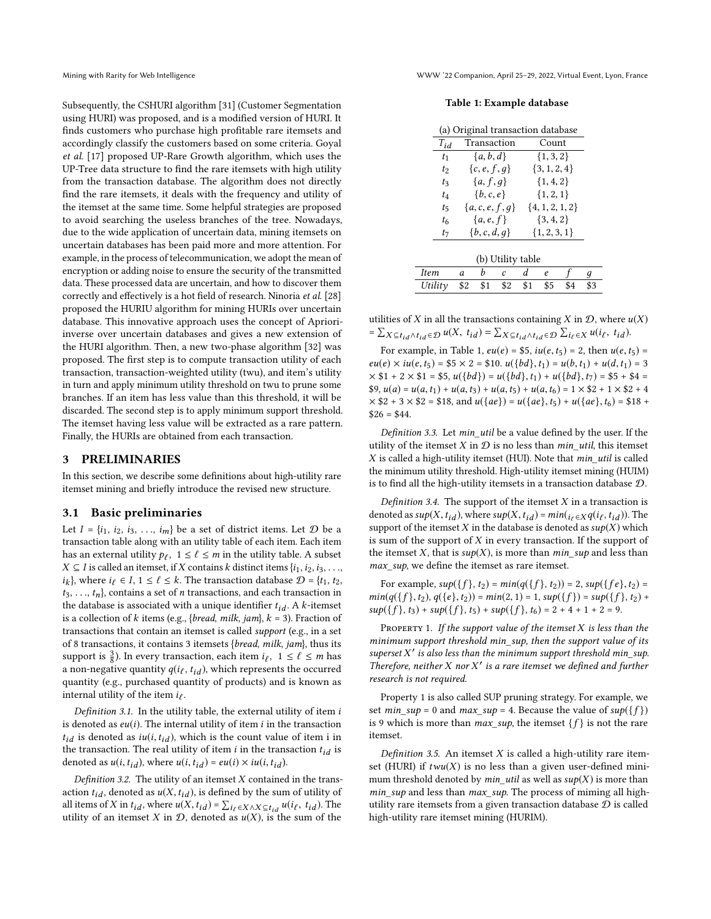Subsequently, the CSHURI algorithm [\[31\]](#page-8-26) (Customer Segmentation using HURI) was proposed, and is a modified version of HURI. It finds customers who purchase high profitable rare itemsets and accordingly classify the customers based on some criteria. Goyal et al. [\[17\]](#page-8-24) proposed UP-Rare Growth algorithm, which uses the UP-Tree data structure to find the rare itemsets with high utility from the transaction database. The algorithm does not directly find the rare itemsets, it deals with the frequency and utility of the itemset at the same time. Some helpful strategies are proposed to avoid searching the useless branches of the tree. Nowadays, due to the wide application of uncertain data, mining itemsets on uncertain databases has been paid more and more attention. For example, in the process of telecommunication, we adopt the mean of encryption or adding noise to ensure the security of the transmitted data. These processed data are uncertain, and how to discover them correctly and effectively is a hot field of research. Ninoria et al. [\[28\]](#page-8-38) proposed the HURIU algorithm for mining HURIs over uncertain database. This innovative approach uses the concept of Aprioriinverse over uncertain databases and gives a new extension of the HURI algorithm. Then, a new two-phase algorithm [\[32\]](#page-8-39) was proposed. The first step is to compute transaction utility of each transaction, transaction-weighted utility (twu), and item's utility in turn and apply minimum utility threshold on twu to prune some branches. If an item has less value than this threshold, it will be discarded. The second step is to apply minimum support threshold. The itemset having less value will be extracted as a rare pattern. Finally, the HURIs are obtained from each transaction.

## <span id="page-2-0"></span>3 PRELIMINARIES

In this section, we describe some definitions about high-utility rare itemset mining and briefly introduce the revised new structure.

#### 3.1 Basic preliminaries

Let  $I = \{i_1, i_2, i_3, \ldots, i_m\}$  be a set of district items. Let  $D$  be a transaction table along with an utility table of each item. Each item has an external utility  $p_{\ell}$ ,  $1 \leq \ell \leq m$  in the utility table. A subset  $X \subset I$  is called an itemset if  $Y$  contains  $k$  distinct items  $j_i$ , is is *X* ⊆ *I* is called an itemset, if *X* contains *k* distinct items { $i_1$ ,  $i_2$ ,  $i_3$ , . . .,  $t_3, \ldots, t_n$ , contains a set of *n* transactions, and each transaction in<br>the database is associated with a unique identifier  $t_1, \ldots, t_n$ .  $i_k$ }, where  $i_\ell \in I$ ,  $1 \leq \ell \leq k$ . The transaction database  $\mathcal{D} = \{t_1, t_2,$ the database is associated with a unique identifier  $t_{id}$ . A k-itemset is a collection of k items (e.g., {bread, milk, jam},  $k = 3$ ). Fraction of transactions that contain an itemset is called support (e.g., in a set of 8 transactions, it contains 3 itemsets {bread, milk, jam}, thus its support is  $\frac{3}{8}$ ). In every transaction, each item  $i_{\ell}$ ,  $1 \leq \ell \leq m$  has a non-negative quantity  $q(i_\ell, t_{id})$ , which represents the occurred<br>quantity (e.g., purchased quantity of products) and is known as quantity (e.g., purchased quantity of products) and is known as internal utility of the item  $i_\ell$ .

Definition 3.1. In the utility table, the external utility of item  $i$ is denoted as  $eu(i)$ . The internal utility of item  $i$  in the transaction  $t_{id}$  is denoted as  $iu(i, t_{id})$ , which is the count value of item i in the transaction. The real utility of item *i* in the transaction  $t_{id}$  is denoted as  $u(i, t_{id})$ , where  $u(i, t_{id}) = eu(i) \times iu(i, t_{id})$ .

Definition 3.2. The utility of an itemset  $X$  contained in the transaction  $t_{id}$ , denoted as  $u(X, t_{id})$ , is defined by the sum of utility of all items of X in  $t_{id}$ , where  $u(X, t_{id}) = \sum_{i_\ell \in X \wedge X \subseteq t_{id}} u(i_\ell, t_{id})$ . The utility of an itemset X in  $\mathcal{D}$  denoted as  $u(X)$  is the sum of the utility of an itemset X in  $D$ , denoted as  $u(X)$ , is the sum of the

#### Mining with Rarity for Web Intelligence WWW '22 Companion, April 25–29, 2022, Virtual Event, Lyon, France

#### Table 1: Example database

<span id="page-2-1"></span>

| (a) Original transaction database |                |                     |  |  |
|-----------------------------------|----------------|---------------------|--|--|
| $T_{id}$                          | Transaction    | Count               |  |  |
| $t_1$                             | ${a,b,d}$      | $\{1, 3, 2\}$       |  |  |
| $t_2$                             | ${c, e, f, g}$ | $\{3, 1, 2, 4\}$    |  |  |
| t3                                | ${a, f, q}$    | ${1, 4, 2}$         |  |  |
| t4                                | $\{b,c,e\}$    | ${1, 2, 1}$         |  |  |
| $t_{5}$                           | ${a,c,e,f,g}$  | $\{4, 1, 2, 1, 2\}$ |  |  |
| t <sub>6</sub>                    | $\{a, e, f\}$  | $\{3, 4, 2\}$       |  |  |
| t7                                | $\{b,c,d,q\}$  | $\{1, 2, 3, 1\}$    |  |  |
|                                   |                |                     |  |  |

|             |     |     | (b) Utility table |       |     |     |
|-------------|-----|-----|-------------------|-------|-----|-----|
| <i>Item</i> |     |     |                   |       |     |     |
| Utility     | \$2 | \$1 | \$2               | - \$1 | \$5 | \$3 |

utilities of X in all the transactions containing X in  $D$ , where  $u(X)$ =  $\sum_{X \subseteq t_{id} \wedge t_{id} \in \mathcal{D}} u(X, t_{id}) = \sum_{X \subseteq t_{id} \wedge t_{id} \in \mathcal{D}} \sum_{i_{\ell} \in X} u(i_{\ell}, t_{id}).$ 

For example, in Table [1,](#page-2-1)  $eu(e) = $5$ ,  $iu(e, t_5) = 2$ , then  $u(e, t_5) =$  $eu(e) \times iu(e, t_5) = $5 \times 2 = $10. u({bd}, t_1) = u(b, t_1) + u(d, t_1) = 3$  $\times$  \$1 + 2  $\times$  \$1 = \$5,  $u({bd}) = u({bd}, t_1) + u({bd}, t_7) =$  \$5 + \$4 =  $$9, u(a) = u(a, t_1) + u(a, t_3) + u(a, t_5) + u(a, t_6) = 1 \times $2 + 1 \times $2 + 4$  $\times$  \$2 + 3  $\times$  \$2 = \$18, and  $u({ae}) = u({ae}, t_5) + u({ae}, t_6) = $18 +$  $$26 = $44.$ 

Definition 3.3. Let min\_util be a value defined by the user. If the utility of the itemset  $X$  in  $D$  is no less than  $min\_util$ , this itemset  $X$  is called a high-utility itemset (HUI). Note that  $min\_util$  is called the minimum utility threshold. High-utility itemset mining (HUIM) is to find all the high-utility itemsets in a transaction database D.

Definition 3.4. The support of the itemset  $X$  in a transaction is denoted as  $sup(X, t_{id})$ , where  $sup(X, t_{id}) = min(i_\ell \in Xq(i_\ell, t_{id}))$ . The support of the itemset X in the database is denoted as  $sup(X)$  which support of the itemset X in the database is denoted as  $sup(X)$  which is sum of the support of  $X$  in every transaction. If the support of the itemset X, that is  $sup(X)$ , is more than  $min\_sup$  and less than max\_sup, we define the itemset as rare itemset.

For example,  $sup({f}, t_2) = min(q({f}, t_2)) = 2$ ,  $sup({f}e, t_2) =$  $min(q({ f},t_2), q({ e},t_2)) = min(2, 1) = 1, sup({ f}) = sup({ f},t_2) +$  $sup({f}, t_3) + sup({f}, t_5) + sup({f}, t_6) = 2 + 4 + 1 + 2 = 9.$ 

PROPERTY 1. If the support value of the itemset  $X$  is less than the minimum support threshold min sup, then the support value of its superset  $X'$  is also less than the minimum support threshold min\_sup.<br>Therefore, neither X nor  $X'$  is a rare itemset we defined and further Therefore, neither  $X$  nor  $X'$  is a rare itemset we defined and further research is not required.

Property 1 is also called SUP pruning strategy. For example, we set *min\_sup* = 0 and *max\_sup* = 4. Because the value of  $sup({f})$ is 9 which is more than  $max\_sup$ , the itemset  $\{f\}$  is not the rare itemset.

Definition 3.5. An itemset  $X$  is called a high-utility rare itemset (HURI) if  $t w u(X)$  is no less than a given user-defined minimum threshold denoted by  $min\_util$  as well as  $sup(X)$  is more than min\_sup and less than max\_sup. The process of miming all highutility rare itemsets from a given transaction database  $D$  is called high-utility rare itemset mining (HURIM).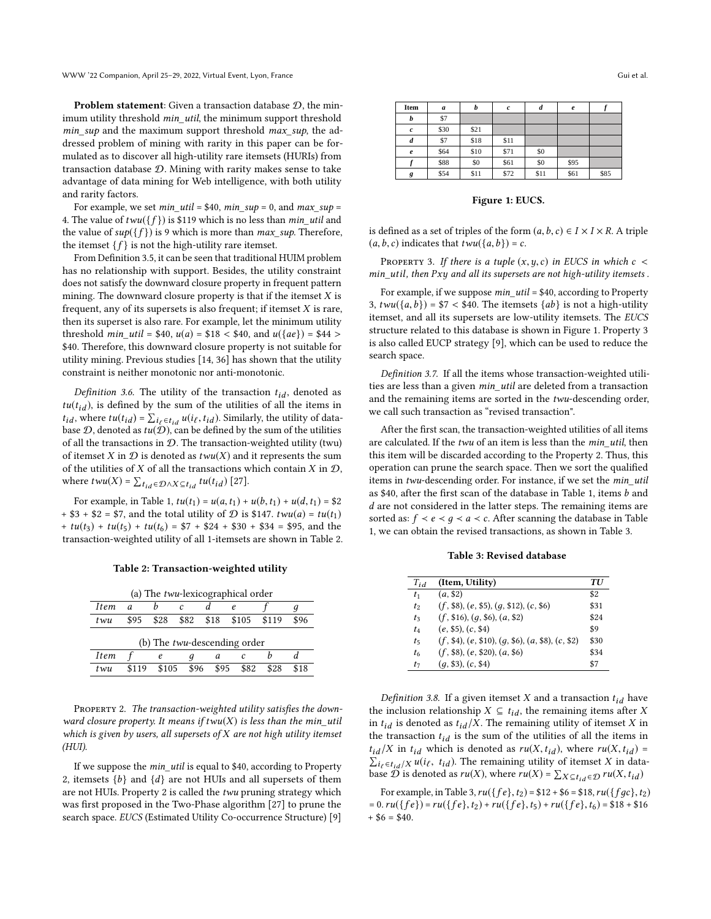WWW '22 Companion, April 25–29, 2022, Virtual Event, Lyon, France Gui et al. Gui et al. Gui et al.

Problem statement: Given a transaction database  $D$ , the minimum utility threshold min\_util, the minimum support threshold  $min\_sup$  and the maximum support threshold  $max\_sup$ , the addressed problem of mining with rarity in this paper can be formulated as to discover all high-utility rare itemsets (HURIs) from transaction database D. Mining with rarity makes sense to take advantage of data mining for Web intelligence, with both utility and rarity factors.

For example, we set  $min\_util = $40$ ,  $min\_sup = 0$ , and  $max\_sup =$ 4. The value of  $t w u({f})$  is \$119 which is no less than *min\_util* and the value of  $sup({f})$  is 9 which is more than *max* sup. Therefore, the itemset  $\{f\}$  is not the high-utility rare itemset.

From Definition 3.5, it can be seen that traditional HUIM problem has no relationship with support. Besides, the utility constraint does not satisfy the downward closure property in frequent pattern mining. The downward closure property is that if the itemset  $X$  is frequent, any of its supersets is also frequent; if itemset  $X$  is rare, then its superset is also rare. For example, let the minimum utility threshold *min*  $util = $40, u(a) = $18 < $40, \text{ and } u({ae}) = $44 >$ \$40. Therefore, this downward closure property is not suitable for utility mining. Previous studies [\[14,](#page-8-13) [36\]](#page-8-40) has shown that the utility constraint is neither monotonic nor anti-monotonic.

Definition 3.6. The utility of the transaction  $t_{id}$ , denoted as  $tu(t_{id})$ , is defined by the sum of the utilities of all the items in  $t_{id}$ , where  $tu(t_{id}) = \sum_{i_\ell \in t_{id}} u(i_\ell, t_{id})$ . Similarly, the utility of data-<br>hase  $\Omega$ , denoted as  $tu(\mathcal{D})$ , can be defined by the sum of the utilities base  $D$ , denoted as  $tu(D)$ , can be defined by the sum of the utilities of all the transactions in  $D$ . The transaction-weighted utility (twu) of itemset X in  $D$  is denoted as  $t w u(X)$  and it represents the sum of the utilities of X of all the transactions which contain X in  $\mathcal{D}$ , where  $t w u(X) = \sum_{t_{id} \in \mathcal{D} \wedge X \subseteq t_{id}} t u(t_{id})$  [\[27\]](#page-8-31).

For example, in Table [1,](#page-2-1)  $tu(t_1) = u(a, t_1) + u(b, t_1) + u(d, t_1) = $2$ + \$3 + \$2 = \$7, and the total utility of  $D$  is \$147.  $t w u(a) = t u(t_1)$  $+ tu(t_3) + tu(t_5) + tu(t_6) = $7 + $24 + $30 + $34 = $95$ , and the transaction-weighted utility of all 1-itemsets are shown in Table [2.](#page-3-0)

<span id="page-3-0"></span>

| (a) The <i>twu</i> -lexicographical order |       |       |      |      |       |       |      |
|-------------------------------------------|-------|-------|------|------|-------|-------|------|
| Item                                      | a     | h     | c    |      | e     |       | ч    |
| twu                                       | \$95  | \$28  | \$82 | \$18 | \$105 | \$119 | \$96 |
| (b) The <i>twu</i> -descending order      |       |       |      |      |       |       |      |
| Item                                      |       | е     | a    | a    | c     |       |      |
| twu                                       | \$119 | \$105 | \$96 | \$95 | \$82  | \$28  | \$18 |
|                                           |       |       |      |      |       |       |      |

PROPERTY 2. The transaction-weighted utility satisfies the downward closure property. It means if  $t w u(X)$  is less than the min\_util which is given by users, all supersets of  $X$  are not high utility itemset (HUI).

If we suppose the min\_util is equal to \$40, according to Property 2, itemsets  ${b}$  and  ${d}$  are not HUIs and all supersets of them are not HUIs. Property 2 is called the twu pruning strategy which was first proposed in the Two-Phase algorithm [\[27\]](#page-8-31) to prune the search space. EUCS (Estimated Utility Co-occurrence Structure) [\[9\]](#page-8-33)

<span id="page-3-1"></span>

| Item             | a    | b    | $\mathfrak c$ | d    | $\boldsymbol{e}$ |      |
|------------------|------|------|---------------|------|------------------|------|
| b                | \$7  |      |               |      |                  |      |
| $\boldsymbol{c}$ | \$30 | \$21 |               |      |                  |      |
| d                | \$7  | \$18 | \$11          |      |                  |      |
| $\pmb{e}$        | \$64 | \$10 | \$71          | \$0  |                  |      |
|                  | \$88 | \$0  | \$61          | \$0  | \$95             |      |
| g                | \$54 | \$11 | \$72          | \$11 | \$61             | \$85 |

Figure 1: EUCS.

is defined as a set of triples of the form  $(a, b, c) \in I \times I \times R$ . A triple  $(a, b, c)$  indicates that  $t w u({a, b}) = c$ .

PROPERTY 3. If there is a tuple  $(x, y, c)$  in EUCS in which  $c <$ min\_util, then Pxy and all its supersets are not high-utility itemsets .

For example, if we suppose min\_util = \$40, according to Property 3,  $t w u({a, b}) = $7 < $40$ . The itemsets  ${ab}$  is not a high-utility itemset, and all its supersets are low-utility itemsets. The EUCS structure related to this database is shown in Figure [1.](#page-3-1) Property 3 is also called EUCP strategy [\[9\]](#page-8-33), which can be used to reduce the search space.

Definition 3.7. If all the items whose transaction-weighted utilities are less than a given min\_util are deleted from a transaction and the remaining items are sorted in the twu-descending order, we call such transaction as "revised transaction".

After the first scan, the transaction-weighted utilities of all items are calculated. If the twu of an item is less than the min\_util, then this item will be discarded according to the Property 2. Thus, this operation can prune the search space. Then we sort the qualified items in twu-descending order. For instance, if we set the min\_util as \$40, after the first scan of the database in Table [1,](#page-2-1) items b and d are not considered in the latter steps. The remaining items are sorted as:  $f \prec e \prec g \prec a \prec c$ . After scanning the database in Table [1,](#page-2-1) we can obtain the revised transactions, as shown in Table [3.](#page-3-2)

Table 3: Revised database

<span id="page-3-2"></span>

| $T_{id}$ | (Item, Utility)                                | <b>TU</b> |
|----------|------------------------------------------------|-----------|
| $t_1$    | (a, \$2)                                       | \$2       |
| $t_2$    | (f, \$8), (e, \$5), (q, \$12), (c, \$6)        | \$31      |
| $t_3$    | $(f, $16)$ , $(g, $6)$ , $(a, $2)$             | \$24      |
| $t_4$    | (e, \$5), (c, \$4)                             | \$9       |
| $t_{5}$  | $(f, $4), (e, $10), (q, $6), (a, $8), (c, $2)$ | \$30      |
| $t_6$    | $(f, \$8), (e, \$20), (a, \$6)$                | \$34      |
| $t_7$    | (q, \$3), (c, \$4)                             | \$7       |

Definition 3.8. If a given itemset X and a transaction  $t_{id}$  have the inclusion relationship  $X \subseteq t_{id}$ , the remaining items after X in  $t_{id}$  is denoted as  $t_{id} / X$ . The remaining utility of itemset X in the transaction  $t_{id}$  is the sum of the utilities of all the items in  $t_{id}/X$  in  $t_{id}$  which is denoted as  $ru(X, t_{id})$ , where  $ru(X, t_{id})$  =  $t_{id}/X$  in  $t_{id}$  which is denoted as  $ru(X, t_{id})$ , where  $ru(X, t_{id}) = \sum_{i\ell \in t_{id}} x u(i_{\ell}, t_{id})$ . The remaining utility of itemset X in data-<br>hase  $\Omega$  is denoted as  $ru(X)$  where  $ru(X) - \sum_{i,j} u(i_{\ell}, t_{ij})$ . base  $\mathcal{D}$  is denoted as  $ru(X)$ , where  $ru(X) = \sum_{X \subseteq t_{id} \in \mathcal{D}} ru(X, t_{id})$ 

For example, in Table [3,](#page-3-2)  $ru({f e}, t_2) = $12 + $6 = $18, ru({f g c}, t_2)$  $= 0.ru({f e}) = ru({f e},t_2) + ru({f e},t_5) + ru({f e},t_6) = $18 + $16$  $+$  \$6 = \$40.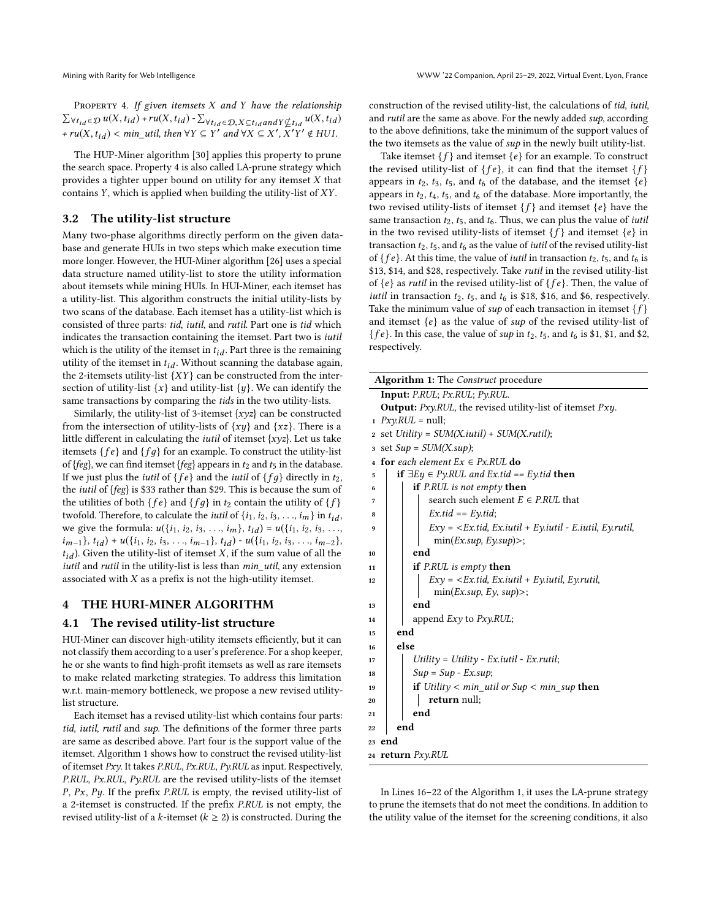PROPERTY 4. If given itemsets  $X$  and  $Y$  have the relationship  $\sum_{\forall t_{id} \in \mathcal{D}} u(X, t_{id}) + ru(X, t_{id}) - \sum_{\forall t_{id} \in \mathcal{D}, X \subseteq t_{id}} a_N \times \sum_{t_{id}} u(X, t_{id})$ +  $ru(X, t_{id})$  <  $min\_util$ , then  $\forall Y \subseteq Y'$  and  $\forall X \subseteq X', X'$  $\widetilde{Y}' \notin HUI.$ 

The HUP-Miner algorithm [\[30\]](#page-8-25) applies this property to prune the search space. Property 4 is also called LA-prune strategy which provides a tighter upper bound on utility for any itemset X that contains Y, which is applied when building the utility-list of XY.

### 3.2 The utility-list structure

Many two-phase algorithms directly perform on the given database and generate HUIs in two steps which make execution time more longer. However, the HUI-Miner algorithm [\[26\]](#page-8-15) uses a special data structure named utility-list to store the utility information about itemsets while mining HUIs. In HUI-Miner, each itemset has a utility-list. This algorithm constructs the initial utility-lists by two scans of the database. Each itemset has a utility-list which is consisted of three parts: tid, iutil, and rutil. Part one is tid which indicates the transaction containing the itemset. Part two is iutil which is the utility of the itemset in  $t_{id}$  . Part three is the remaining utility of the itemset in  $t_{id}$ . Without scanning the database again, the 2-itemsets utility-list  ${XY}$  can be constructed from the intersection of utility-list  $\{x\}$  and utility-list  $\{y\}$ . We can identify the same transactions by comparing the tids in the two utility-lists.

Similarly, the utility-list of 3-itemset  $\{xyz\}$  can be constructed from the intersection of utility-lists of  $\{xy\}$  and  $\{xz\}$ . There is a little different in calculating the *iutil* of itemset  $\{xyz\}$ . Let us take itemsets  $\{fe\}$  and  $\{fg\}$  for an example. To construct the utility-list of {feg}, we can find itemset {feg} appears in  $t_2$  and  $t_5$  in the database. If we just plus the *iutil* of  $\{fe\}$  and the *iutil* of  $\{fg\}$  directly in  $t_2$ , the iutil of {feg} is \$33 rather than \$29. This is because the sum of the utilities of both  $\{fe\}$  and  $\{fg\}$  in  $t_2$  contain the utility of  $\{f\}$ twofold. Therefore, to calculate the *iutil* of  $\{i_1, i_2, i_3, \ldots, i_m\}$  in  $t_{id}$ , we give the formula:  $u({i_1, i_2, i_3, ..., i_m}, t_{id}) = u({i_1, i_2, i_3, ..., i_m})$  $i_{m-1}$ ,  $t_{id}$ ) +  $u({i_1, i_2, i_3, \ldots, i_{m-1}}, t_{id})$  -  $u({i_1, i_2, i_3, \ldots, i_{m-2}})$ ,  $t_{id}$ ). Given the utility-list of itemset X, if the sum value of all the iutil and rutil in the utility-list is less than min\_util, any extension associated with  $X$  as a prefix is not the high-utility itemset.

#### <span id="page-4-0"></span>4 THE HURI-MINER ALGORITHM

### 4.1 The revised utility-list structure

HUI-Miner can discover high-utility itemsets efficiently, but it can not classify them according to a user's preference. For a shop keeper, he or she wants to find high-profit itemsets as well as rare itemsets to make related marketing strategies. To address this limitation w.r.t. main-memory bottleneck, we propose a new revised utilitylist structure.

Each itemset has a revised utility-list which contains four parts: tid, iutil, rutil and sup. The definitions of the former three parts are same as described above. Part four is the support value of the itemset. Algorithm 1 shows how to construct the revised utility-list of itemset Pxy. It takes P.RUL, Px.RUL, Py.RUL as input. Respectively, P.RUL, Px.RUL, Py.RUL are the revised utility-lists of the itemset P, Px, Py. If the prefix P.RUL is empty, the revised utility-list of a 2-itemset is constructed. If the prefix P.RUL is not empty, the revised utility-list of a k-itemset ( $k \ge 2$ ) is constructed. During the

construction of the revised utility-list, the calculations of tid, iutil, and rutil are the same as above. For the newly added sup, according to the above definitions, take the minimum of the support values of the two itemsets as the value of  $sup$  in the newly built utility-list.

Take itemset  $\{f\}$  and itemset  $\{e\}$  for an example. To construct the revised utility-list of  $\{fe\}$ , it can find that the itemset  $\{f\}$ appears in  $t_2$ ,  $t_3$ ,  $t_5$ , and  $t_6$  of the database, and the itemset  $\{e\}$ appears in  $t_2$ ,  $t_4$ ,  $t_5$ , and  $t_6$  of the database. More importantly, the two revised utility-lists of itemset  $\{f\}$  and itemset  $\{e\}$  have the same transaction  $t_2$ ,  $t_5$ , and  $t_6$ . Thus, we can plus the value of *iutil* in the two revised utility-lists of itemset  $\{f\}$  and itemset  $\{e\}$  in transaction  $t_2$ ,  $t_5$ , and  $t_6$  as the value of *iutil* of the revised utility-list of { $fe$ }. At this time, the value of *iutil* in transaction  $t_2$ ,  $t_5$ , and  $t_6$  is \$13, \$14, and \$28, respectively. Take rutil in the revised utility-list of  $\{e\}$  as *rutil* in the revised utility-list of  $\{fe\}$ . Then, the value of *iutil* in transaction  $t_2$ ,  $t_5$ , and  $t_6$  is \$18, \$16, and \$6, respectively. Take the minimum value of sup of each transaction in itemset  $\{f\}$ and itemset  $\{e\}$  as the value of sup of the revised utility-list of { $fe$ }. In this case, the value of sup in  $t_2$ ,  $t_5$ , and  $t_6$  is \$1, \$1, and \$2, respectively.

| <b>Algorithm 1:</b> The <i>Construct</i> procedure                              |  |  |  |  |  |
|---------------------------------------------------------------------------------|--|--|--|--|--|
| Input: P.RUL; Px.RUL; Py.RUL.                                                   |  |  |  |  |  |
| <b>Output:</b> $Pxy.RUL$ , the revised utility-list of itemset $Pxy$ .          |  |  |  |  |  |
| $Pxy.RUL = null;$<br>1                                                          |  |  |  |  |  |
| set Utility = $SUM(X.util) + SUM(X.rutil);$<br>$\bf{2}$                         |  |  |  |  |  |
| set $Sup = SUM(X, sup)$ ;<br>3                                                  |  |  |  |  |  |
| for each element $Ex \in Px$ .RUL do<br>$\overline{\mathbf{4}}$                 |  |  |  |  |  |
| <b>if</b> $\exists E y \in P \gamma$ .RUL and Ex.tid == Ey.tid <b>then</b><br>5 |  |  |  |  |  |
| <b>if</b> P.RUL is not empty <b>then</b><br>6                                   |  |  |  |  |  |
| search such element $E \in P.RUL$ that<br>7                                     |  |  |  |  |  |
| $Ex.tid == Ey.tid;$<br>8                                                        |  |  |  |  |  |
| $Exy = \langle Ex.tid, Ex.util + Ey.util - E.util, Ey.rutil,$<br>9              |  |  |  |  |  |
| $min(EX.sub, Ey.sub)$ :                                                         |  |  |  |  |  |
| end<br>10                                                                       |  |  |  |  |  |
| if P.RUL is empty then<br>11                                                    |  |  |  |  |  |
| $Exy = \langle Ex.tid, Ex.tutil + Ey.tutil, Ey.rutil,$<br>12                    |  |  |  |  |  |
| min(EX.sub, Ey, sup)                                                            |  |  |  |  |  |
| end<br>13                                                                       |  |  |  |  |  |
| append $Exy$ to $Pxy.RUL$ ;<br>14                                               |  |  |  |  |  |
| end<br>15                                                                       |  |  |  |  |  |
| else<br>16                                                                      |  |  |  |  |  |
| $Utility = Utility - Ex.util - Ex.rutil;$<br>17                                 |  |  |  |  |  |
| $Sup = Sup - Ex.sub;$<br>18                                                     |  |  |  |  |  |
| <b>if</b> Utility $\lt$ min_util or Sup $\lt$ min_sup <b>then</b><br>19         |  |  |  |  |  |
| return null;<br>20                                                              |  |  |  |  |  |
| end<br>21                                                                       |  |  |  |  |  |
| end<br>22                                                                       |  |  |  |  |  |
| 23 end                                                                          |  |  |  |  |  |
| 24 return Pxy.RUL                                                               |  |  |  |  |  |

In Lines 16–22 of the Algorithm 1, it uses the LA-prune strategy to prune the itemsets that do not meet the conditions. In addition to the utility value of the itemset for the screening conditions, it also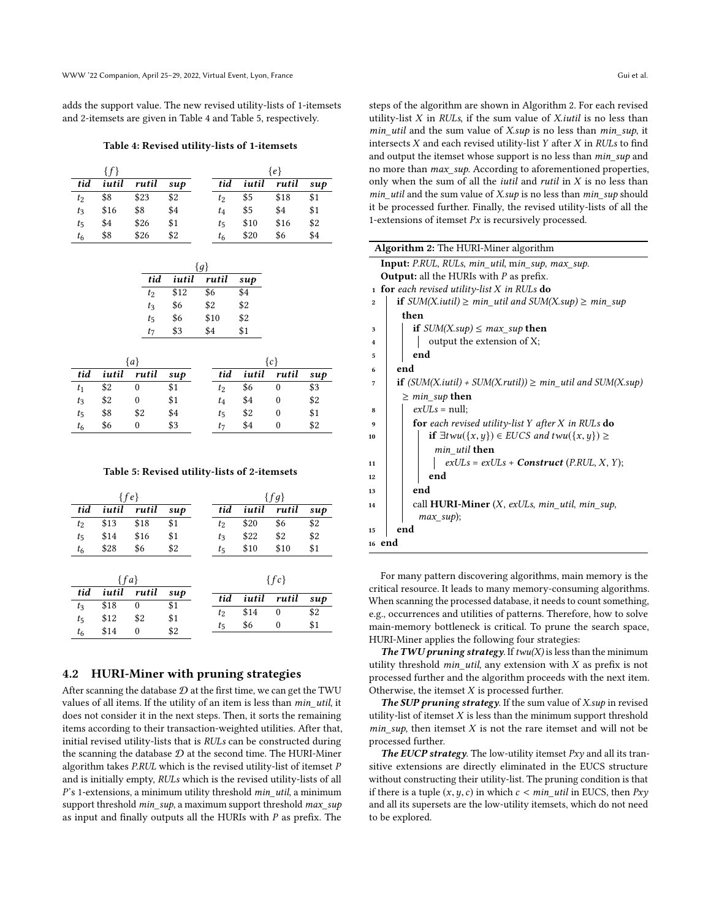<span id="page-5-0"></span>adds the support value. The new revised utility-lists of 1-itemsets and 2-itemsets are given in Table [4](#page-5-0) and Table [5,](#page-5-1) respectively.

Table 4: Revised utility-lists of 1-itemsets

|       | $\{f\}$ |       |        |                |       | {e}   |                    |
|-------|---------|-------|--------|----------------|-------|-------|--------------------|
| tid   | iutil   | rutil | $\sup$ | tid            | iutil | rutil | $\boldsymbol{sup}$ |
| $t_2$ | \$8     | \$23  | \$2    | $t_2$          | \$5   | \$18  | \$1                |
| $t_3$ | \$16    | \$8   | \$4    | $t_4$          | \$5   | \$4   | \$1                |
| $t_5$ | \$4     | \$26  | \$1    | $t_5$          | \$10  | \$16  | \$2                |
| $t_6$ | \$8     | \$26  | \$2    | t <sub>6</sub> | \$20  | \$6   | \$4                |
|       |         |       |        |                |       |       |                    |

|         |       | ${q}$ |     |
|---------|-------|-------|-----|
| tid     | iutil | rutil | sup |
| $t_2$   | \$12  | \$6   | \$4 |
| $t_{3}$ | \$6   | \$2   | \$2 |
| $t_{5}$ | \$6   | \$10  | \$2 |
| $t_7$   | \$3   | \$4   | \$1 |
|         |       |       |     |

|         |       | {a}      |        | {c}     |     |             |        |
|---------|-------|----------|--------|---------|-----|-------------|--------|
| tid     | iutil | rutil    | $\sup$ | tid     |     | iutil rutil | $\sup$ |
| $t_1$   | \$2   | $\theta$ | \$1    | $t_2$   | \$6 |             | \$3    |
| $t_3$   | \$2   | 0        | \$1    | $t_4$   | \$4 |             | \$2    |
| $t_{5}$ | \$8   | \$2      | \$4    | $t_{5}$ | \$2 | 0           | \$1    |
| $t_6$   | \$6   | 0        | \$3    | t7      | \$4 |             | \$2    |
|         |       |          |        |         |     |             |        |

#### Table 5: Revised utility-lists of 2-itemsets

<span id="page-5-1"></span>

|                |                    | $\{fe\}$ |        |       |       | $\{fg\}$     |        |
|----------------|--------------------|----------|--------|-------|-------|--------------|--------|
| tid            | iutil              | rutil    | $\sup$ | tid   | iutil | rutil        | $\sup$ |
| t <sub>2</sub> | \$13               | \$18     | \$1    | $t_2$ | \$20  | \$6          | \$2    |
| $t_5$          | \$14               | \$16     | \$1    | $t_3$ | \$22  | \$2          | \$2    |
| $t_6$          | \$28               | \$6      | \$2    | $t_5$ | \$10  | \$10         | \$1    |
|                | $\{fa\}$           |          |        |       |       | $\{fc\}$     |        |
| tid            | iutil              | rutil    | sup    | tid   | iutil | rutil        | $\sup$ |
| $t_3$          | \$18               | $\theta$ | \$1    | $t_2$ | \$14  | $\mathbf{0}$ | \$2    |
| $t_{5}$        | \$12               | \$2      | \$1    | $t_5$ | \$6   | $\mathbf{0}$ | \$1    |
| $\ddot{t}$     | $\Phi$ 1 $\Lambda$ | $\Omega$ | ¢Ω     |       |       |              |        |

 $t_5$  \$6 0 \$1

#### 4.2 HURI-Miner with pruning strategies

 $t_6$  \$14 0 \$2

After scanning the database  $D$  at the first time, we can get the TWU values of all items. If the utility of an item is less than  $min\_util$ , it does not consider it in the next steps. Then, it sorts the remaining items according to their transaction-weighted utilities. After that, initial revised utility-lists that is RULs can be constructed during the scanning the database  $D$  at the second time. The HURI-Miner algorithm takes P.RUL which is the revised utility-list of itemset P and is initially empty, RULs which is the revised utility-lists of all P's 1-extensions, a minimum utility threshold min\_util, a minimum support threshold min\_sup, a maximum support threshold max\_sup as input and finally outputs all the HURIs with P as prefix. The

steps of the algorithm are shown in Algorithm 2. For each revised utility-list  $X$  in RULs, if the sum value of  $X$ .*iutil* is no less than *min util* and the sum value of X.sup is no less than *min sup*, it intersects  $X$  and each revised utility-list  $Y$  after  $X$  in  $RUs$  to find and output the itemset whose support is no less than *min* sup and no more than *max* sup. According to aforementioned properties, only when the sum of all the *iutil* and *rutil* in  $X$  is no less than  $min\_util$  and the sum value of  $X, sup$  is no less than  $min\_sup$  should it be processed further. Finally, the revised utility-lists of all the 1-extensions of itemset  $Px$  is recursively processed.

| Algorithm 2: The HURI-Miner algorithm                                                 |
|---------------------------------------------------------------------------------------|
| <b>Input:</b> P.RUL, RULs, min_util, min_sup, max_sup.                                |
| <b>Output:</b> all the HURIs with $P$ as prefix.                                      |
| for each revised utility-list X in RULs do<br>$\mathbf{1}$                            |
| <b>if</b> $SUM(X.util) \ge min\_util$ and $SUM(X.sub) \ge min\_sup$<br>$\overline{2}$ |
| then                                                                                  |
| if $SUM(X, \text{sup}) \leq max$ sup then<br>3                                        |
| output the extension of X;<br>4                                                       |
| end<br>5                                                                              |
| end<br>6                                                                              |
| <b>if</b> $(SUM(X, iutil) + SUM(X, rutil)) \geq min$ util and $SUM(X, sup)$<br>7      |
| $\geq min\_sup$ then                                                                  |
| $exU\mathcal{L}s = \text{null};$<br>8                                                 |
| <b>for</b> each revised utility-list Y after X in RULs $\bf{do}$<br>9                 |
| if $\exists t w u({x, y}) \in EUCS$ and $t w u({x, y}) \ge$<br>10                     |
| <i>min util</i> then                                                                  |
| $exULs = exULs + Construct (P.RUL, X, Y);$<br>11                                      |
| end<br>12                                                                             |
| end<br>13                                                                             |
| call <b>HURI-Miner</b> $(X, \text{exULs}, \text{min\_util}, \text{min\_sup},$<br>14   |
| $max\_sup$ ;                                                                          |
| end<br>15                                                                             |
| 16 end                                                                                |

For many pattern discovering algorithms, main memory is the critical resource. It leads to many memory-consuming algorithms. When scanning the processed database, it needs to count something, e.g., occurrences and utilities of patterns. Therefore, how to solve main-memory bottleneck is critical. To prune the search space, HURI-Miner applies the following four strategies:

The TWU pruning strategy. If  $t w u(X)$  is less than the minimum utility threshold min util, any extension with  $X$  as prefix is not processed further and the algorithm proceeds with the next item. Otherwise, the itemset  $X$  is processed further.

The SUP pruning strategy. If the sum value of X.sup in revised utility-list of itemset  $X$  is less than the minimum support threshold  $min\_sup$ , then itemset  $X$  is not the rare itemset and will not be processed further.

The EUCP strategy. The low-utility itemset  $Pxy$  and all its transitive extensions are directly eliminated in the EUCS structure without constructing their utility-list. The pruning condition is that if there is a tuple  $(x, y, c)$  in which  $c < min$  util in EUCS, then Pxy and all its supersets are the low-utility itemsets, which do not need to be explored.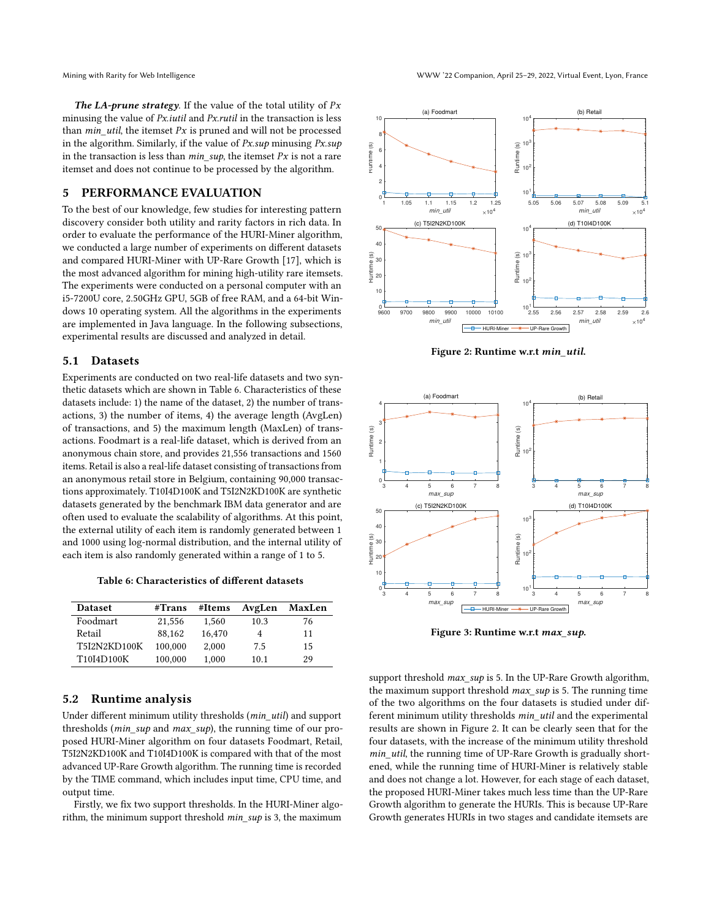The LA-prune strategy. If the value of the total utility of  $Px$ minusing the value of *Px.iutil* and *Px.rutil* in the transaction is less than *min* util, the itemset  $Px$  is pruned and will not be processed in the algorithm. Similarly, if the value of  $Px \sup$  minusing  $Px \sup$ in the transaction is less than *min*  $sup$ , the itemset Px is not a rare itemset and does not continue to be processed by the algorithm.

# <span id="page-6-0"></span>5 PERFORMANCE EVALUATION

To the best of our knowledge, few studies for interesting pattern discovery consider both utility and rarity factors in rich data. In order to evaluate the performance of the HURI-Miner algorithm, we conducted a large number of experiments on different datasets and compared HURI-Miner with UP-Rare Growth [\[17\]](#page-8-24), which is the most advanced algorithm for mining high-utility rare itemsets. The experiments were conducted on a personal computer with an i5-7200U core, 2.50GHz GPU, 5GB of free RAM, and a 64-bit Windows 10 operating system. All the algorithms in the experiments are implemented in Java language. In the following subsections, experimental results are discussed and analyzed in detail.

#### 5.1 Datasets

Experiments are conducted on two real-life datasets and two synthetic datasets which are shown in Table [6.](#page-6-1) Characteristics of these datasets include: 1) the name of the dataset, 2) the number of transactions, 3) the number of items, 4) the average length (AvgLen) of transactions, and 5) the maximum length (MaxLen) of transactions. Foodmart is a real-life dataset, which is derived from an anonymous chain store, and provides 21,556 transactions and 1560 items. Retail is also a real-life dataset consisting of transactions from an anonymous retail store in Belgium, containing 90,000 transactions approximately. T10I4D100K and T5I2N2KD100K are synthetic datasets generated by the benchmark IBM data generator and are often used to evaluate the scalability of algorithms. At this point, the external utility of each item is randomly generated between 1 and 1000 using log-normal distribution, and the internal utility of each item is also randomly generated within a range of 1 to 5.

Table 6: Characteristics of different datasets

<span id="page-6-1"></span>

| <b>Dataset</b>      | #Trans  | #Items | AvgLen | MaxLen |
|---------------------|---------|--------|--------|--------|
| Foodmart            | 21.556  | 1.560  | 10.3   | 76     |
| Retail              | 88.162  | 16.470 | 4      | 11     |
| <b>T5I2N2KD100K</b> | 100,000 | 2.000  | 7.5    | 15     |
| T10I4D100K          | 100,000 | 1.000  | 10.1   | 29     |

## 5.2 Runtime analysis

Under different minimum utility thresholds (min\_util) and support thresholds (min\_sup and max\_sup), the running time of our proposed HURI-Miner algorithm on four datasets Foodmart, Retail, T5I2N2KD100K and T10I4D100K is compared with that of the most advanced UP-Rare Growth algorithm. The running time is recorded by the TIME command, which includes input time, CPU time, and output time.

Firstly, we fix two support thresholds. In the HURI-Miner algorithm, the minimum support threshold  $min\_sup$  is 3, the maximum

<span id="page-6-2"></span>

Figure 2: Runtime w.r.t min\_util.

<span id="page-6-3"></span>

Figure 3: Runtime w.r.t max\_sup.

support threshold *max\_sup* is 5. In the UP-Rare Growth algorithm, the maximum support threshold  $max\_sup$  is 5. The running time of the two algorithms on the four datasets is studied under different minimum utility thresholds min\_util and the experimental results are shown in Figure [2.](#page-6-2) It can be clearly seen that for the four datasets, with the increase of the minimum utility threshold min\_util, the running time of UP-Rare Growth is gradually shortened, while the running time of HURI-Miner is relatively stable and does not change a lot. However, for each stage of each dataset, the proposed HURI-Miner takes much less time than the UP-Rare Growth algorithm to generate the HURIs. This is because UP-Rare Growth generates HURIs in two stages and candidate itemsets are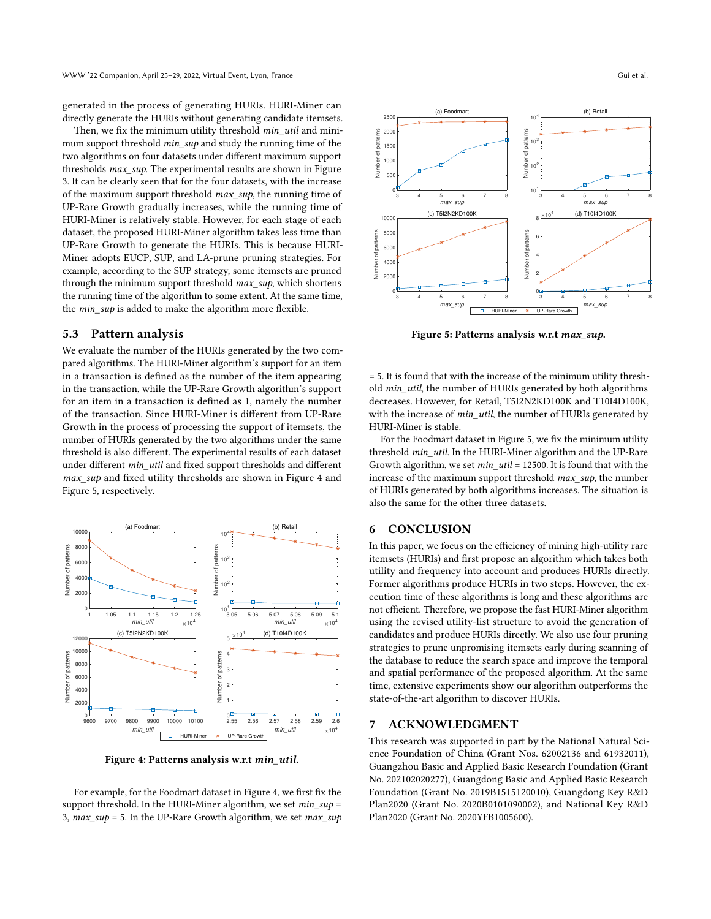generated in the process of generating HURIs. HURI-Miner can directly generate the HURIs without generating candidate itemsets.

Then, we fix the minimum utility threshold min util and minimum support threshold *min\_sup* and study the running time of the two algorithms on four datasets under different maximum support thresholds *max* sup. The experimental results are shown in Figure [3.](#page-6-3) It can be clearly seen that for the four datasets, with the increase of the maximum support threshold max\_sup, the running time of UP-Rare Growth gradually increases, while the running time of HURI-Miner is relatively stable. However, for each stage of each dataset, the proposed HURI-Miner algorithm takes less time than UP-Rare Growth to generate the HURIs. This is because HURI-Miner adopts EUCP, SUP, and LA-prune pruning strategies. For example, according to the SUP strategy, some itemsets are pruned through the minimum support threshold max\_sup, which shortens the running time of the algorithm to some extent. At the same time, the min\_sup is added to make the algorithm more flexible.

#### 5.3 Pattern analysis

We evaluate the number of the HURIs generated by the two compared algorithms. The HURI-Miner algorithm's support for an item in a transaction is defined as the number of the item appearing in the transaction, while the UP-Rare Growth algorithm's support for an item in a transaction is defined as 1, namely the number of the transaction. Since HURI-Miner is different from UP-Rare Growth in the process of processing the support of itemsets, the number of HURIs generated by the two algorithms under the same threshold is also different. The experimental results of each dataset under different min\_util and fixed support thresholds and different max sup and fixed utility thresholds are shown in Figure [4](#page-7-1) and Figure [5,](#page-7-2) respectively.

<span id="page-7-1"></span>

Figure 4: Patterns analysis w.r.t min\_util.

For example, for the Foodmart dataset in Figure [4,](#page-7-1) we first fix the support threshold. In the HURI-Miner algorithm, we set  $min\_sup$  = 3,  $max\_sup = 5$ . In the UP-Rare Growth algorithm, we set  $max\_sup$ 

<span id="page-7-2"></span>

Figure 5: Patterns analysis w.r.t max\_sup.

= 5. It is found that with the increase of the minimum utility threshold min\_util, the number of HURIs generated by both algorithms decreases. However, for Retail, T5I2N2KD100K and T10I4D100K, with the increase of min\_util, the number of HURIs generated by HURI-Miner is stable.

For the Foodmart dataset in Figure [5,](#page-7-2) we fix the minimum utility threshold min\_util. In the HURI-Miner algorithm and the UP-Rare Growth algorithm, we set min\_util = 12500. It is found that with the increase of the maximum support threshold  $max \, sup$ , the number of HURIs generated by both algorithms increases. The situation is also the same for the other three datasets.

## <span id="page-7-0"></span>6 CONCLUSION

In this paper, we focus on the efficiency of mining high-utility rare itemsets (HURIs) and first propose an algorithm which takes both utility and frequency into account and produces HURIs directly. Former algorithms produce HURIs in two steps. However, the execution time of these algorithms is long and these algorithms are not efficient. Therefore, we propose the fast HURI-Miner algorithm using the revised utility-list structure to avoid the generation of candidates and produce HURIs directly. We also use four pruning strategies to prune unpromising itemsets early during scanning of the database to reduce the search space and improve the temporal and spatial performance of the proposed algorithm. At the same time, extensive experiments show our algorithm outperforms the state-of-the-art algorithm to discover HURIs.

#### 7 ACKNOWLEDGMENT

This research was supported in part by the National Natural Science Foundation of China (Grant Nos. 62002136 and 61932011), Guangzhou Basic and Applied Basic Research Foundation (Grant No. 202102020277), Guangdong Basic and Applied Basic Research Foundation (Grant No. 2019B1515120010), Guangdong Key R&D Plan2020 (Grant No. 2020B0101090002), and National Key R&D Plan2020 (Grant No. 2020YFB1005600).